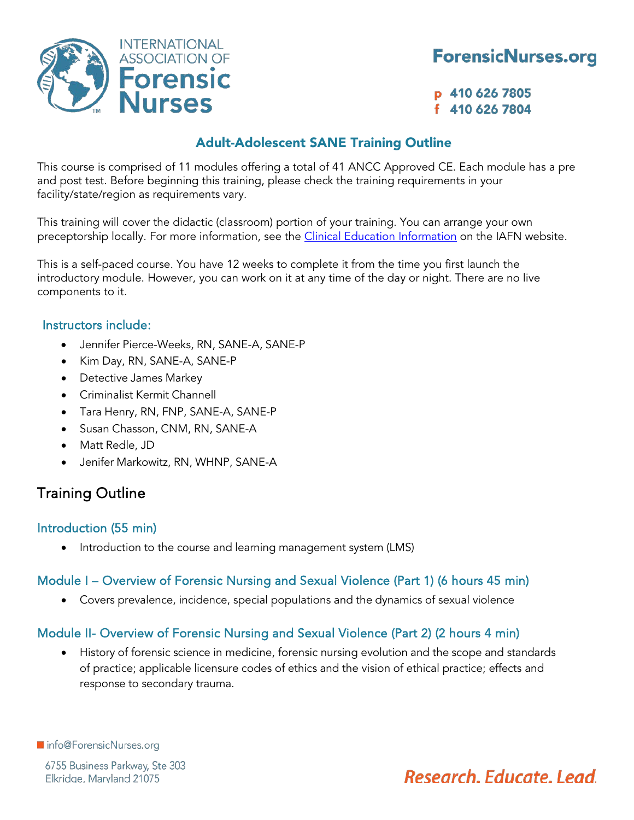

## **ForensicNurses.org**

p 410 626 7805 f 410 626 7804

## Adult-Adolescent SANE Training Outline

This course is comprised of 11 modules offering a total of 41 ANCC Approved CE. Each module has a pre and post test. Before beginning this training, please check the training requirements in your facility/state/region as requirements vary.

This training will cover the didactic (classroom) portion of your training. You can arrange your own preceptorship locally. For more information, see the *Clinical Education Information* on the IAFN website.

This is a self-paced course. You have 12 weeks to complete it from the time you first launch the introductory module. However, you can work on it at any time of the day or night. There are no live components to it.

#### Instructors include:

- Jennifer Pierce-Weeks, RN, SANE-A, SANE-P
- Kim Day, RN, SANE-A, SANE-P
- Detective James Markey
- Criminalist Kermit Channell
- Tara Henry, RN, FNP, SANE-A, SANE-P
- Susan Chasson, CNM, RN, SANE-A
- Matt Redle, JD
- Jenifer Markowitz, RN, WHNP, SANE-A

## Training Outline

#### Introduction (55 min)

Introduction to the course and learning management system (LMS)

## Module I – Overview of Forensic Nursing and Sexual Violence (Part 1) (6 hours 45 min)

• Covers prevalence, incidence, special populations and the dynamics of sexual violence

## Module II- Overview of Forensic Nursing and Sexual Violence (Part 2) (2 hours 4 min)

• History of forensic science in medicine, forensic nursing evolution and the scope and standards of practice; applicable licensure codes of ethics and the vision of ethical practice; effects and response to secondary trauma.

ninfo@ForensicNurses.org

6755 Business Parkway, Ste 303 Elkridge, Maryland 21075

# Research, Educate, Lead,